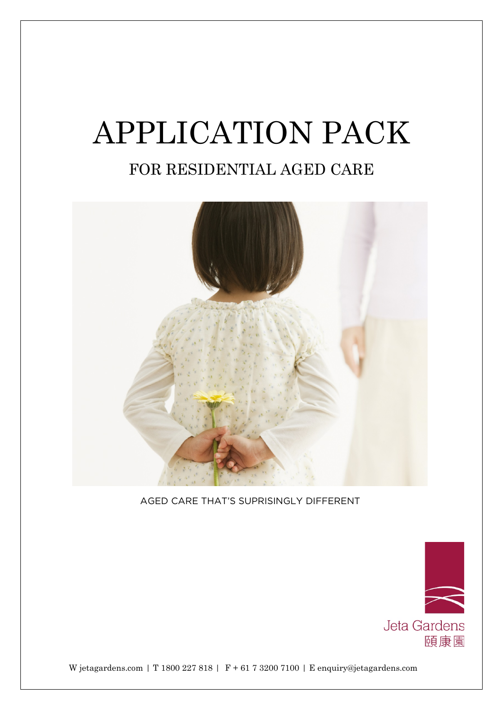# APPLICATION PACK

# FOR RESIDENTIAL AGED CARE



AGED CARE THAT'S SUPRISINGLY DIFFERENT



W jetagardens.com | T 1800 227 818 | F + 61 7 3200 7100 | E enquiry@jetagardens.com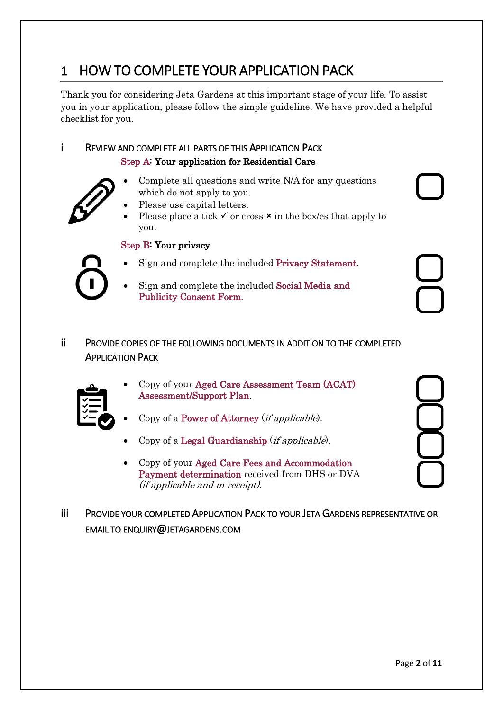# 1 HOW TO COMPLETE YOUR APPLICATION PACK

Thank you for considering Jeta Gardens at this important stage of your life. To assist you in your application, please follow the simple guideline. We have provided a helpful checklist for you.

#### i REVIEW AND COMPLETE ALL PARTS OF THIS APPLICATION PACK Step A: Your application for Residential Care

- 
- Complete all questions and write N/A for any questions which do not apply to you.
- Please use capital letters.
- Please place a tick  $\checkmark$  or cross  $\checkmark$  in the box/es that apply to you.

#### Step B: Your privacy

- Sign and complete the included Privacy Statement.
- Sign and complete the included Social Media and Publicity Consent Form.

#### ii PROVIDE COPIES OF THE FOLLOWING DOCUMENTS IN ADDITION TO THE COMPLETED APPLICATION PACK



- Copy of your Aged Care Assessment Team (ACAT) Assessment/Support Plan.
- Copy of a Power of Attorney (if applicable).
- Copy of a Legal Guardianship  $(ifapplicable)$ .
- Copy of your Aged Care Fees and Accommodation Payment determination received from DHS or DVA (if applicable and in receipt).
- iii PROVIDE YOUR COMPLETED APPLICATION PACK TO YOUR JETA GARDENS REPRESENTATIVE OR EMAIL TO ENQUIRY@JETAGARDENS.COM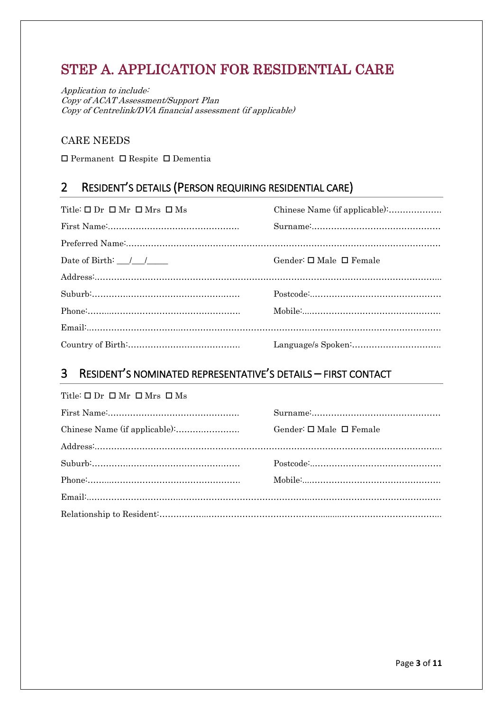## STEP A. APPLICATION FOR RESIDENTIAL CARE

Application to include: Copy of ACAT Assessment/Support Plan Copy of Centrelink/DVA financial assessment (if applicable)

#### CARE NEEDS

 $\square$  Permanent  $\square$  Respite  $\square$  Dementia

## 2 RESIDENT'S DETAILS (PERSON REQUIRING RESIDENTIAL CARE)

| Title: $\square$ Dr $\square$ Mr $\square$ Mrs $\square$ Ms |                                         |
|-------------------------------------------------------------|-----------------------------------------|
|                                                             |                                         |
|                                                             |                                         |
| Date of Birth: $\frac{1}{\sqrt{2}}$                         | Gender: $\square$ Male $\square$ Female |
|                                                             |                                         |
|                                                             |                                         |
|                                                             |                                         |
|                                                             |                                         |
|                                                             |                                         |

## 3 RESIDENT'S NOMINATED REPRESENTATIVE'S DETAILS – FIRST CONTACT

| Title: $\square$ Dr $\square$ Mr $\square$ Mrs $\square$ Ms |  |  |  |
|-------------------------------------------------------------|--|--|--|
|                                                             |  |  |  |

| Gender: $\square$ Male $\square$ Female |
|-----------------------------------------|
|                                         |
|                                         |
|                                         |
|                                         |
|                                         |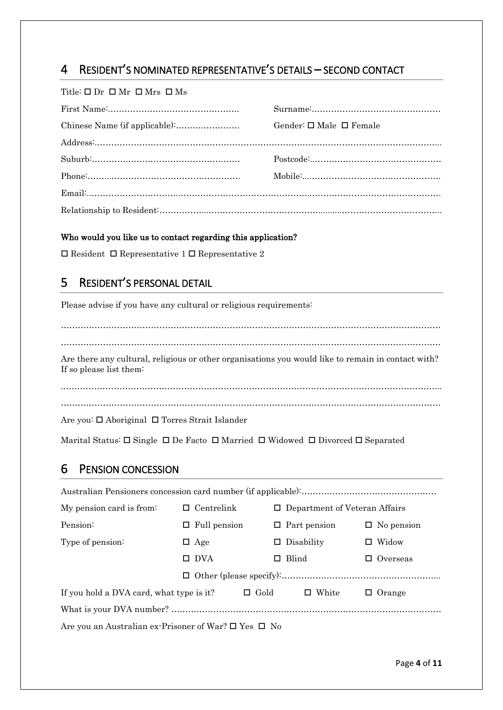## 4 RESIDENT'S NOMINATED REPRESENTATIVE'S DETAILS – SECOND CONTACT

Title:  $\Box$  Dr  $\Box$  Mr  $\Box$  Mrs  $\Box$  Ms

| Gender: $\square$ Male $\square$ Female |
|-----------------------------------------|
|                                         |
|                                         |
|                                         |
|                                         |
|                                         |

#### Who would you like us to contact regarding this application?

 $\square$  Resident  $\square$  Representative 1  $\square$  Representative 2

## 5 RESIDENT'S PERSONAL DETAIL

Please advise if you have any cultural or religious requirements:

……………………………………………………………………………………………………………………… ……………………………………………………………………………………………………………………… Are there any cultural, religious or other organisations you would like to remain in contact with? If so please list them:

Are you: □ Aboriginal □ Torres Strait Islander

Marital Status:  $\Box$  Single  $\Box$  De Facto  $\Box$  Married  $\Box$  Widowed  $\Box$  Divorced  $\Box$  Separated

#### 6 PENSION CONCESSION

| My pension card is from:                                             | $\Box$ Centrelink   | $\Box$ Department of Veteran Affairs |                   |
|----------------------------------------------------------------------|---------------------|--------------------------------------|-------------------|
| Pension:                                                             | $\Box$ Full pension | $\Box$ Part pension                  | $\Box$ No pension |
| Type of pension:                                                     | $\Box$ Age          | $\Box$ Disability                    | Widow<br>$\Box$   |
|                                                                      | $\Box$ DVA          | $\Box$ Blind                         | $\Box$ Overseas   |
|                                                                      |                     |                                      |                   |
| If you hold a DVA card, what type is it?                             | $\Box$ Gold         | $\Box$ White                         | $\Box$ Orange     |
|                                                                      |                     |                                      |                   |
| Are vou an Australian ex-Prisoner of War? $\square$ Yes $\square$ No |                     |                                      |                   |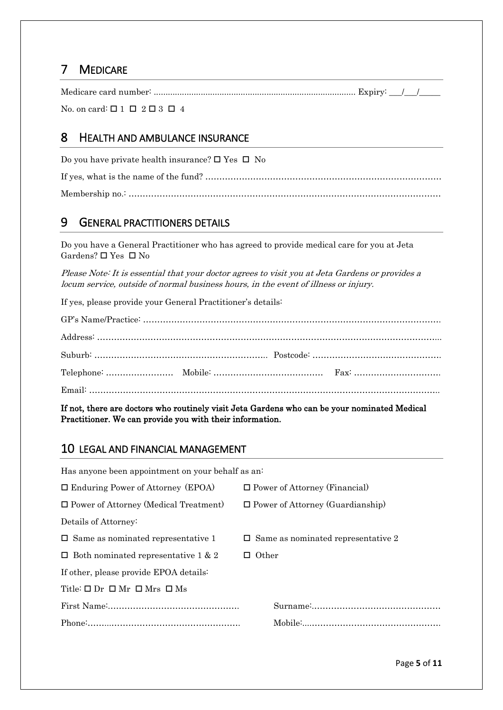## 7 MEDICARE

Medicare card number: ...................................................................................... Expiry: \_\_\_/\_\_\_/\_\_\_\_\_

No. on card:  $\Box$  1  $\Box$  2  $\Box$  3  $\Box$  4

#### 8 HEALTH AND AMBULANCE INSURANCE

Do you have private health insurance?  $\Box$  Yes  $\Box$  No If yes, what is the name of the fund? ………………………………………………………………………… Membership no.: …………………………………………………………………………………………………

## 9 GENERAL PRACTITIONERS DETAILS

Do you have a General Practitioner who has agreed to provide medical care for you at Jeta Gardens?  $\Box$  Yes  $\Box$  No

Please Note: It is essential that your doctor agrees to visit you at Jeta Gardens or provides a locum service, outside of normal business hours, in the event of illness or injury.

If yes, please provide your General Practitioner's details:

If not, there are doctors who routinely visit Jeta Gardens who can be your nominated Medical Practitioner. We can provide you with their information.

#### 10 LEGAL AND FINANCIAL MANAGEMENT

Has anyone been appointment on your behalf as an:  $\square$  Enduring Power of Attorney (EPOA)  $\square$  Power of Attorney (Financial)  $\square$  Power of Attorney (Medical Treatment)  $\square$  Power of Attorney (Guardianship) Details of Attorney:  $\Box$  Same as nominated representative 1  $\Box$  Same as nominated representative 2  $\Box$  Both nominated representative 1 & 2  $\Box$  Other If other, please provide EPOA details: Title:  $\Box$  Dr  $\Box$  Mr  $\Box$  Mrs  $\Box$  Ms First Name:.………………………………………. Surname:.……………………………………… Phone:……...………………………………………. Mobile:....……………………………………….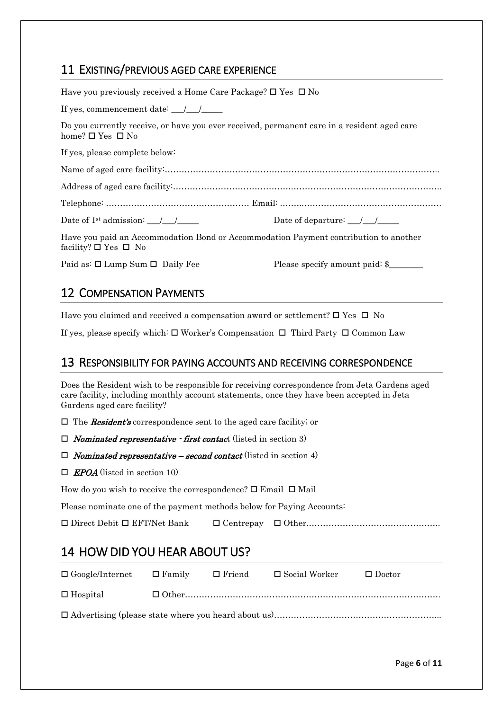## 11 EXISTING/PREVIOUS AGED CARE EXPERIENCE

| Have you previously received a Home Care Package? $\square$ Yes $\square$ No                                                    |                                                                        |
|---------------------------------------------------------------------------------------------------------------------------------|------------------------------------------------------------------------|
| If yes, commencement date: $\frac{\sqrt{2}}{2}$                                                                                 |                                                                        |
| Do you currently receive, or have you ever received, permanent care in a resident aged care<br>home? $\square$ Yes $\square$ No |                                                                        |
| If yes, please complete below:                                                                                                  |                                                                        |
|                                                                                                                                 |                                                                        |
|                                                                                                                                 |                                                                        |
|                                                                                                                                 |                                                                        |
| Date of 1 <sup>st</sup> admission: $\frac{1}{1}$                                                                                | Date of departure: $\frac{\sqrt{1-\frac{1}{2}}}{\sqrt{1-\frac{1}{2}}}$ |
| Have you paid an Accommodation Bond or Accommodation Payment contribution to another<br>facility? $\square$ Yes $\square$ No    |                                                                        |
| Paid as: $\square$ Lump Sum $\square$ Daily Fee                                                                                 | Please specify amount paid: \$                                         |

#### 12 COMPENSATION PAYMENTS

Have you claimed and received a compensation award or settlement?  $\Box$  Yes  $\Box$  No

If yes, please specify which:  $\Box$  Worker's Compensation  $\Box$  Third Party  $\Box$  Common Law

#### 13 RESPONSIBILITY FOR PAYING ACCOUNTS AND RECEIVING CORRESPONDENCE

Does the Resident wish to be responsible for receiving correspondence from Jeta Gardens aged care facility, including monthly account statements, once they have been accepted in Jeta Gardens aged care facility?

 $\Box$  The **Resident's** correspondence sent to the aged care facility; or

 $\Box$  Nominated representative - first contact (listed in section 3)

 $\Box$  Nominated representative – second contact (listed in section 4)

 $\Box$  **EPOA** (listed in section 10)

How do you wish to receive the correspondence?  $\square$  Email  $\square$  Mail

Please nominate one of the payment methods below for Paying Accounts:

Direct Debit EFT/Net Bank Centrepay Other.………………………………………..

## 14 HOW DID YOU HEAR ABOUT US?

| $\Box$ Google/Internet $\Box$ Family | $\Box$ Friend | $\square$ Social Worker | $\Box$ Doctor |
|--------------------------------------|---------------|-------------------------|---------------|
| $\Box$ Hospital                      |               |                         |               |
|                                      |               |                         |               |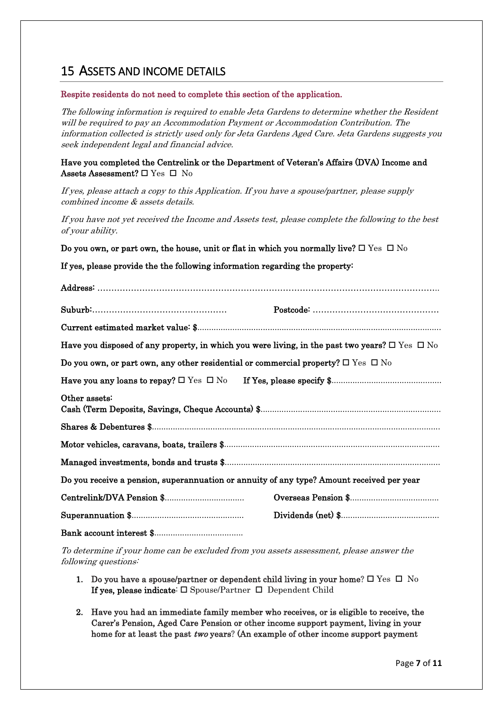## 15 ASSETS AND INCOME DETAILS

#### Respite residents do not need to complete this section of the application.

The following information is required to enable Jeta Gardens to determine whether the Resident will be required to pay an Accommodation Payment or Accommodation Contribution. The information collected is strictly used only for Jeta Gardens Aged Care. Jeta Gardens suggests you seek independent legal and financial advice.

#### Have you completed the Centrelink or the Department of Veteran's Affairs (DVA) Income and Assets Assessment?  $\Box$  Yes  $\Box$  No

If yes, please attach a copy to this Application. If you have a spouse/partner, please supply combined income & assets details.

If you have not yet received the Income and Assets test, please complete the following to the best of your ability.

Do you own, or part own, the house, unit or flat in which you normally live?  $\Box$  Yes  $\Box$  No

#### If yes, please provide the the following information regarding the property:

| Have you disposed of any property, in which you were living, in the past two years? $\square$ Yes $\square$ No |  |
|----------------------------------------------------------------------------------------------------------------|--|
| Do you own, or part own, any other residential or commercial property? $\square$ Yes $\square$ No              |  |
|                                                                                                                |  |
| Other assets:                                                                                                  |  |
|                                                                                                                |  |
|                                                                                                                |  |
|                                                                                                                |  |
| Do you receive a pension, superannuation or annuity of any type? Amount received per year                      |  |
|                                                                                                                |  |
|                                                                                                                |  |
|                                                                                                                |  |

To determine if your home can be excluded from you assets assessment, please answer the following questions:

- 1. Do you have a spouse/partner or dependent child living in your home?  $\Box$  Yes  $\Box$  No If yes, please indicate:  $\square$  Spouse/Partner  $\square$  Dependent Child
- 2. Have you had an immediate family member who receives, or is eligible to receive, the Carer's Pension, Aged Care Pension or other income support payment, living in your home for at least the past two years? (An example of other income support payment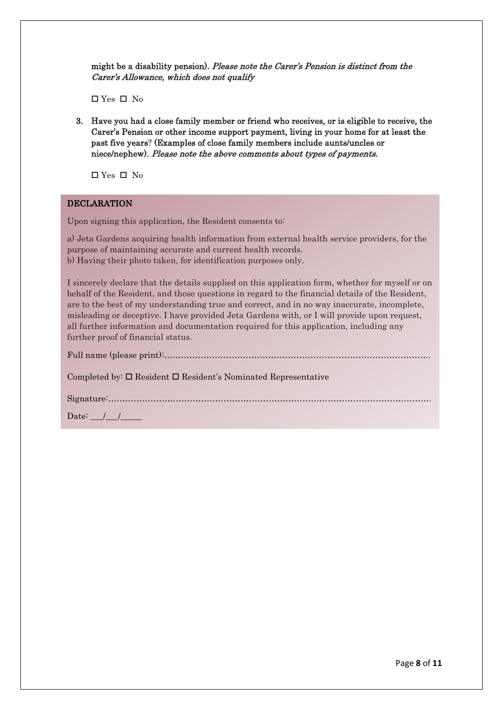might be a disability pension). Please note the Carer's Pension is distinct from the Carer's Allowance, which does not qualify

 $\Box$  Yes  $\Box$  No

3. Have you had a close family member or friend who receives, or is eligible to receive, the Carer's Pension or other income support payment, living in your home for at least the past five years? (Examples of close family members include aunts/uncles or niece/nephew). Please note the above comments about types of payments.

 $\Box$  Yes  $\Box$  No

#### **DECLARATION**

Upon signing this application, the Resident consents to:

a) Jeta Gardens acquiring health information from external health service providers, for the purpose of maintaining accurate and current health records. b) Having their photo taken, for identification purposes only.

I sincerely declare that the details supplied on this application form, whether for myself or on behalf of the Resident, and those questions in regard to the financial details of the Resident, are to the best of my understanding true and correct, and in no way inaccurate, incomplete, misleading or deceptive. I have provided Jeta Gardens with, or I will provide upon request, all further information and documentation required for this application, including any further proof of financial status.

| Completed by: $\Box$ Resident $\Box$ Resident's Nominated Representative |
|--------------------------------------------------------------------------|
|                                                                          |
| Date: $\angle$ / /                                                       |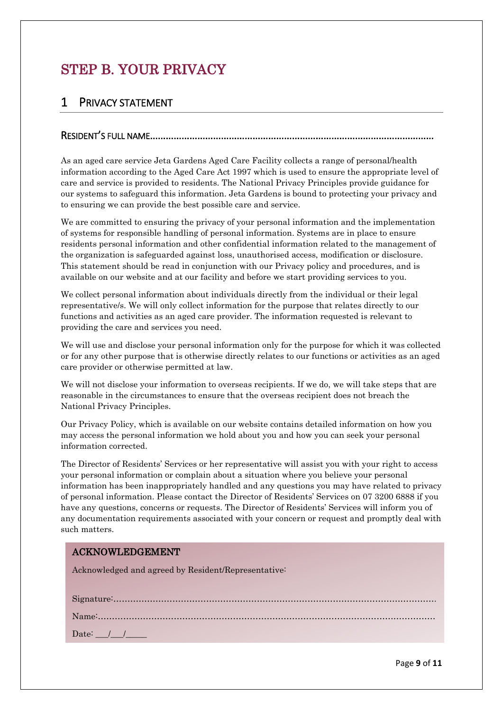# STEP B. YOUR PRIVACY

#### 1 PRIVACY STATEMENT

#### RESIDENT'S FULL NAME………………………………………………………………………………………………

As an aged care service Jeta Gardens Aged Care Facility collects a range of personal/health information according to the Aged Care Act 1997 which is used to ensure the appropriate level of care and service is provided to residents. The National Privacy Principles provide guidance for our systems to safeguard this information. Jeta Gardens is bound to protecting your privacy and to ensuring we can provide the best possible care and service.

We are committed to ensuring the privacy of your personal information and the implementation of systems for responsible handling of personal information. Systems are in place to ensure residents personal information and other confidential information related to the management of the organization is safeguarded against loss, unauthorised access, modification or disclosure. This statement should be read in conjunction with our Privacy policy and procedures, and is available on our website and at our facility and before we start providing services to you.

We collect personal information about individuals directly from the individual or their legal representative/s. We will only collect information for the purpose that relates directly to our functions and activities as an aged care provider. The information requested is relevant to providing the care and services you need.

We will use and disclose your personal information only for the purpose for which it was collected or for any other purpose that is otherwise directly relates to our functions or activities as an aged care provider or otherwise permitted at law.

We will not disclose your information to overseas recipients. If we do, we will take steps that are reasonable in the circumstances to ensure that the overseas recipient does not breach the National Privacy Principles.

Our Privacy Policy, which is available on our website contains detailed information on how you may access the personal information we hold about you and how you can seek your personal information corrected.

The Director of Residents' Services or her representative will assist you with your right to access your personal information or complain about a situation where you believe your personal information has been inappropriately handled and any questions you may have related to privacy of personal information. Please contact the Director of Residents' Services on 07 3200 6888 if you have any questions, concerns or requests. The Director of Residents' Services will inform you of any documentation requirements associated with your concern or request and promptly deal with such matters.

#### ACKNOWLEDGEMENT

Acknowledged and agreed by Resident/Representative:

| Date: $/$ $/$ |  |
|---------------|--|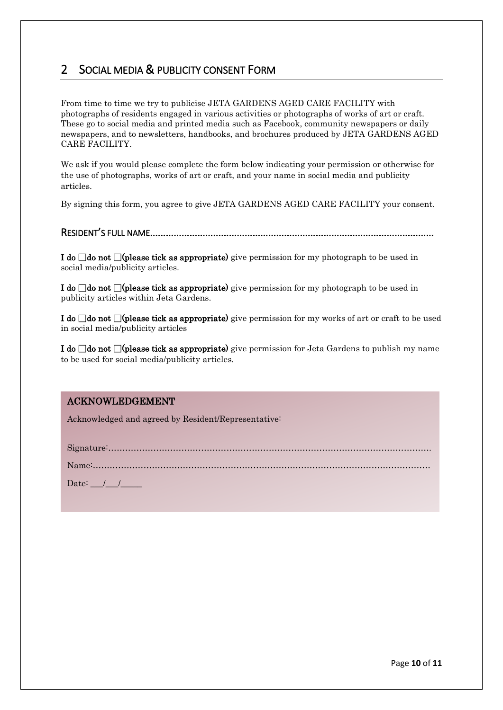## 2 SOCIAL MEDIA & PUBLICITY CONSENT FORM

From time to time we try to publicise JETA GARDENS AGED CARE FACILITY with photographs of residents engaged in various activities or photographs of works of art or craft. These go to social media and printed media such as Facebook, community newspapers or daily newspapers, and to newsletters, handbooks, and brochures produced by JETA GARDENS AGED CARE FACILITY.

We ask if you would please complete the form below indicating your permission or otherwise for the use of photographs, works of art or craft, and your name in social media and publicity articles.

By signing this form, you agree to give JETA GARDENS AGED CARE FACILITY your consent.

RESIDENT'S FULL NAME.........................

I do  $\Box$  do not  $\Box$  (please tick as appropriate) give permission for my photograph to be used in social media/publicity articles.

I do  $\Box$ do not  $\Box$ (please tick as appropriate) give permission for my photograph to be used in publicity articles within Jeta Gardens.

I do  $\Box$  do not  $\Box$  (please tick as appropriate) give permission for my works of art or craft to be used in social media/publicity articles

I do  $\Box$  do not  $\Box$  (please tick as appropriate) give permission for Jeta Gardens to publish my name to be used for social media/publicity articles.

#### ACKNOWLEDGEMENT

Acknowledged and agreed by Resident/Representative:

Signature:…………………………………………………………………………………………………….

Name:…………………………………………………………………………………………………………

Date:  $\frac{1}{\sqrt{2}}$